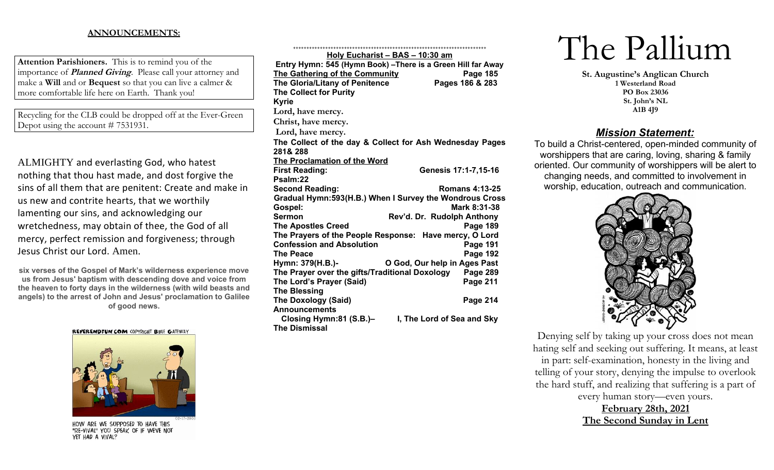## **ANNOUNCEMENTS:**

**Attention Parishioners.** This is to remind you of the importance of **Planned Giving**. Please call your attorney and make a **Will** and or **Bequest** so that you can live a calmer & more comfortable life here on Earth. Thank you!

Recycling for the CLB could be dropped off at the Ever-Green Depot using the account # 7531931.

ALMIGHTY and everlasting God, who hatest nothing that thou hast made, and dost forgive the sins of all them that are penitent: Create and make in us new and contrite hearts, that we worthily lamenting our sins, and acknowledging our wretchedness, may obtain of thee, the God of all mercy, perfect remission and forgiveness; through Jesus Christ our Lord. Amen.

**six verses of the Gospel of Mark's wilderness experience move us from Jesus' baptism with descending dove and voice from the heaven to forty days in the wilderness (with wild beasts and angels) to the arrest of John and Jesus' proclamation to Galilee of good news.**

REVERENDFUN.COM COPYRIGHT BIBLE GATEWAY



HOW ARE WE SUPPOSED TO HAVE THIS "RE-VIVAL" YOU SPEAK OF IF WE'VE NOT YET HAD A VIVAL?

| <u>Holy Eucharist - BAS - 10:30 am</u>                       |                              |
|--------------------------------------------------------------|------------------------------|
| Entry Hymn: 545 (Hymn Book) - There is a Green Hill far Away |                              |
| The Gathering of the Community                               | <b>Page 185</b>              |
| <b>The Gloria/Litany of Penitence</b>                        | Pages 186 & 283              |
| <b>The Collect for Purity</b>                                |                              |
| <b>Kyrie</b>                                                 |                              |
| Lord, have mercy.                                            |                              |
| Christ, have mercy.                                          |                              |
| Lord, have mercy.                                            |                              |
| The Collect of the day & Collect for Ash Wednesday Pages     |                              |
| 281&288                                                      |                              |
| <b>The Proclamation of the Word</b>                          |                              |
| <b>First Reading:</b>                                        | Genesis 17:1-7,15-16         |
| Psalm:22                                                     |                              |
| <b>Second Reading:</b>                                       | <b>Romans 4:13-25</b>        |
| Gradual Hymn: 593 (H.B.) When I Survey the Wondrous Cross    |                              |
| Gospel:                                                      | Mark 8:31-38                 |
| Sermon                                                       | Rev'd. Dr. Rudolph Anthony   |
| <b>The Apostles Creed</b>                                    | <b>Page 189</b>              |
| The Prayers of the People Response: Have mercy, O Lord       |                              |
| <b>Confession and Absolution</b>                             | Page 191                     |
| <b>The Peace</b>                                             | <b>Page 192</b>              |
| Hymn: 379(H.B.)-                                             | O God, Our help in Ages Past |
| The Prayer over the gifts/Traditional Doxology               | Page 289                     |
| The Lord's Prayer (Said)                                     | <b>Page 211</b>              |
| <b>The Blessing</b>                                          |                              |
| <b>The Doxology (Said)</b>                                   | Page 214                     |
| <b>Announcements</b>                                         |                              |
| Closing Hymn:81 (S.B.)-                                      | I, The Lord of Sea and Sky   |
| <b>The Dismissal</b>                                         |                              |

++++++++++++++++++++++++++++++++++++++++++++++++++++++++++++++++++++++++

# The Pallium

**St. Augustine's Anglican Church 1 Westerland Road PO Box 23036 St. John's NL A1B 4J9**

# *Mission Statement:*

To build a Christ-centered, open-minded community of worshippers that are caring, loving, sharing & family oriented. Our community of worshippers will be alert to changing needs, and committed to involvement in worship, education, outreach and communication.



Denying self by taking up your cross does not mean hating self and seeking out suffering. It means, at least in part: self-examination, honesty in the living and telling of your story, denying the impulse to overlook the hard stuff, and realizing that suffering is a part of

every human story—even yours.

**February 28th, 2021 The Second Sunday in Lent**